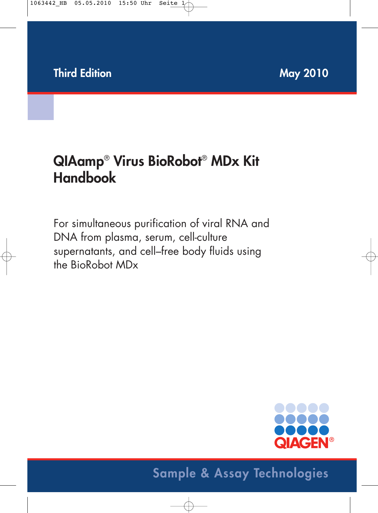# **QIAamp**® **Virus BioRobot**® **MDx Kit Handbook**

For simultaneous purification of viral RNA and DNA from plasma, serum, cell-culture supernatants, and cell–free body fluids using the BioRobot MDx



## **Sample & Assay Technologies**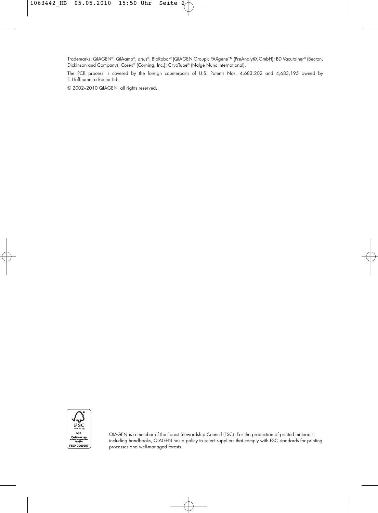Trademarks: QIAGEN®, QIAamp®, artus®, BioRobot® (QIAGEN Group); PAXgene™ (PreAnalytiX GmbH); BD Vacutainer® (Becton, Dickinson and Company); Corex® (Corning, Inc.); CryoTube® (Nalge Nunc International).

The PCR process is covered by the foreign counterparts of U.S. Patents Nos. 4,683,202 and 4,683,195 owned by F. Hoffmann-La Roche Ltd.

© 2002–2010 QIAGEN, all rights reserved.



QIAGEN is a member of the Forest Stewardship Council (FSC). For the production of printed materials, including handbooks, QIAGEN has a policy to select suppliers that comply with FSC standards for printing processes and well-managed forests.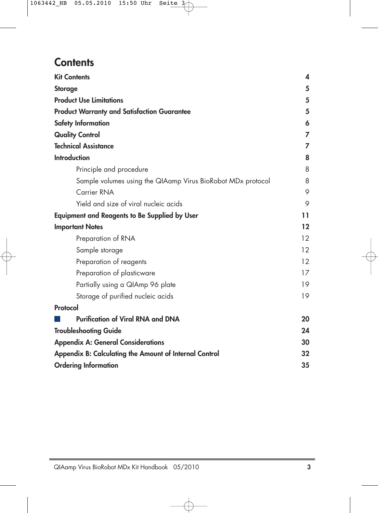## **Contents**

| <b>Kit Contents</b>                                         | 4  |
|-------------------------------------------------------------|----|
| <b>Storage</b>                                              | 5  |
| <b>Product Use Limitations</b>                              | 5  |
| <b>Product Warranty and Satisfaction Guarantee</b>          | 5  |
| <b>Safety Information</b>                                   | 6  |
| <b>Quality Control</b>                                      | 7  |
| <b>Technical Assistance</b>                                 | 7  |
| <b>Introduction</b>                                         | 8  |
| Principle and procedure                                     | 8  |
| Sample volumes using the QIAamp Virus BioRobot MDx protocol | 8  |
| Carrier RNA                                                 | 9  |
| Yield and size of viral nucleic acids                       | 9  |
| <b>Equipment and Reagents to Be Supplied by User</b>        | 11 |
| <b>Important Notes</b>                                      | 12 |
| Preparation of RNA                                          | 12 |
| Sample storage                                              | 12 |
| Preparation of reagents                                     | 12 |
| Preparation of plasticware                                  | 17 |
| Partially using a QIAmp 96 plate                            | 19 |
| Storage of purified nucleic acids                           | 19 |
| Protocol                                                    |    |
| <b>Purification of Viral RNA and DNA</b>                    | 20 |
| <b>Troubleshooting Guide</b>                                | 24 |
| <b>Appendix A: General Considerations</b>                   | 30 |
| Appendix B: Calculating the Amount of Internal Control      | 32 |
| <b>Ordering Information</b>                                 | 35 |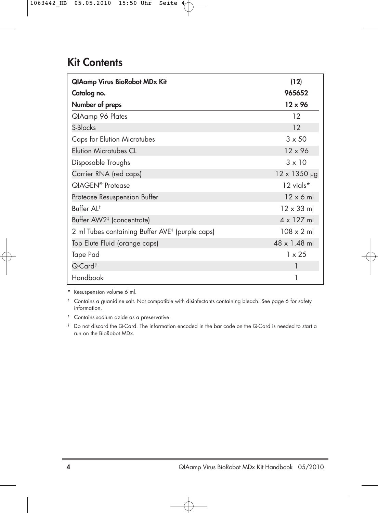## **Kit Contents**

| <b>QIAamp Virus BioRobot MDx Kit</b>                        | (12)                |
|-------------------------------------------------------------|---------------------|
| Catalog no.                                                 | 965652              |
| Number of preps                                             | $12 \times 96$      |
| QIAamp 96 Plates                                            | 12                  |
| S-Blocks                                                    | 12                  |
| <b>Caps for Elution Microtubes</b>                          | $3 \times 50$       |
| <b>Elution Microtubes CL</b>                                | $12 \times 96$      |
| Disposable Troughs                                          | $3 \times 10$       |
| Carrier RNA (red caps)                                      | $12 \times 1350$ µg |
| QIAGEN <sup>®</sup> Protease                                | 12 vials*           |
| Protease Resuspension Buffer                                | $12 \times 6$ m     |
| Buffer Al <sup>t</sup>                                      | $12 \times 33$ ml   |
| Buffer AW2 <sup>‡</sup> (concentrate)                       | $4 \times 127$ ml   |
| 2 ml Tubes containing Buffer AVE <sup>‡</sup> (purple caps) | $108 \times 2$ ml   |
| Top Elute Fluid (orange caps)                               | 48 x 1.48 ml        |
| Tape Pad                                                    | $1 \times 25$       |
| Q-Card <sup>§</sup>                                         |                     |
| Handbook                                                    |                     |

\* Resuspension volume 6 ml.

† Contains a guanidine salt. Not compatible with disinfectants containing bleach. See page 6 for safety information.

‡ Contains sodium azide as a preservative.

§ Do not discard the Q-Card. The information encoded in the bar code on the Q-Card is needed to start a run on the BioRobot MDx.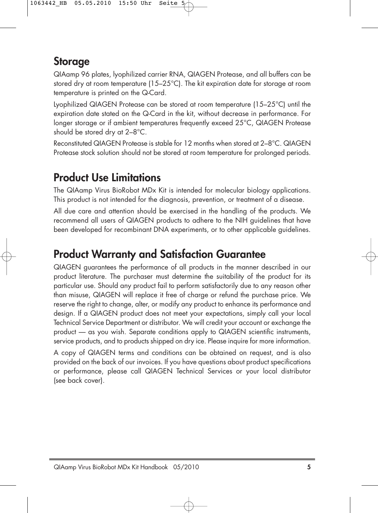## **Storage**

QIAamp 96 plates, lyophilized carrier RNA, QIAGEN Protease, and all buffers can be stored dry at room temperature (15–25°C). The kit expiration date for storage at room temperature is printed on the Q-Card.

Lyophilized QIAGEN Protease can be stored at room temperature (15–25°C) until the expiration date stated on the Q-Card in the kit, without decrease in performance. For longer storage or if ambient temperatures frequently exceed 25°C, QIAGEN Protease should be stored dry at 2–8°C.

Reconstituted QIAGEN Protease is stable for 12 months when stored at 2–8°C. QIAGEN Protease stock solution should not be stored at room temperature for prolonged periods.

## **Product Use Limitations**

The QIAamp Virus BioRobot MDx Kit is intended for molecular biology applications. This product is not intended for the diagnosis, prevention, or treatment of a disease.

All due care and attention should be exercised in the handling of the products. We recommend all users of QIAGEN products to adhere to the NIH guidelines that have been developed for recombinant DNA experiments, or to other applicable guidelines.

## **Product Warranty and Satisfaction Guarantee**

QIAGEN guarantees the performance of all products in the manner described in our product literature. The purchaser must determine the suitability of the product for its particular use. Should any product fail to perform satisfactorily due to any reason other than misuse, QIAGEN will replace it free of charge or refund the purchase price. We reserve the right to change, alter, or modify any product to enhance its performance and design. If a QIAGEN product does not meet your expectations, simply call your local Technical Service Department or distributor. We will credit your account or exchange the product — as you wish. Separate conditions apply to QIAGEN scientific instruments, service products, and to products shipped on dry ice. Please inquire for more information.

A copy of QIAGEN terms and conditions can be obtained on request, and is also provided on the back of our invoices. If you have questions about product specifications or performance, please call QIAGEN Technical Services or your local distributor (see back cover).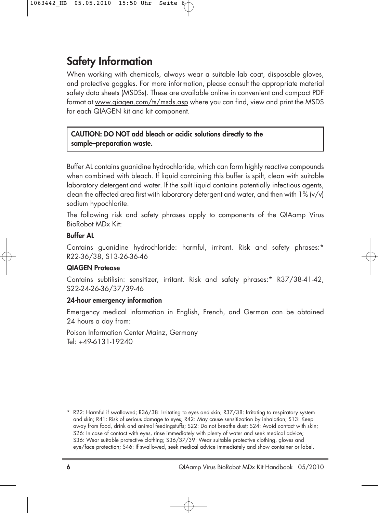## **Safety Information**

When working with chemicals, always wear a suitable lab coat, disposable gloves, and protective goggles. For more information, please consult the appropriate material safety data sheets (MSDSs). These are available online in convenient and compact PDF format at www.qiagen.com/ts/msds.asp where you can find, view and print the MSDS for each QIAGEN kit and kit component.

### **CAUTION: DO NOT add bleach or acidic solutions directly to the sample–preparation waste.**

Buffer AL contains guanidine hydrochloride, which can form highly reactive compounds when combined with bleach. If liquid containing this buffer is spilt, clean with suitable laboratory detergent and water. If the spilt liquid contains potentially infectious gaents, clean the affected area first with laboratory detergent and water, and then with  $1\%$  (v/v) sodium hypochlorite.

The following risk and safety phrases apply to components of the QIAamp Virus BioRobot MDx Kit:

### **Buffer AL**

Contains guanidine hydrochloride: harmful, irritant. Risk and safety phrases:\* R22-36/38, S13-26-36-46

### **QIAGEN Protease**

Contains subtilisin: sensitizer, irritant. Risk and safety phrases:\* R37/38-41-42, S22-24-26-36/37/39-46

### **24-hour emergency information**

Emergency medical information in English, French, and German can be obtained 24 hours a day from:

Poison Information Center Mainz, Germany Tel: +49-6131-19240

<sup>\*</sup> R22: Harmful if swallowed; R36/38: Irritating to eyes and skin; R37/38: Irritating to respiratory system and skin; R41: Risk of serious damage to eyes; R42: May cause sensitization by inhalation; S13: Keep away from food, drink and animal feedingstuffs; S22: Do not breathe dust; S24: Avoid contact with skin; S26: In case of contact with eyes, rinse immediately with plenty of water and seek medical advice; S36: Wear suitable protective clothing; S36/37/39: Wear suitable protective clothing, gloves and eye/face protection; S46: If swallowed, seek medical advice immediately and show container or label.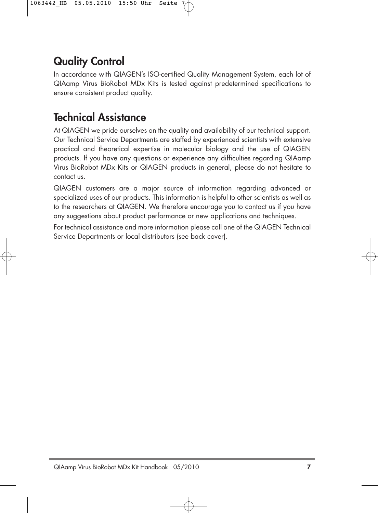## **Quality Control**

In accordance with QIAGEN's ISO-certified Quality Management System, each lot of QIAamp Virus BioRobot MDx Kits is tested against predetermined specifications to ensure consistent product quality.

## **Technical Assistance**

At QIAGEN we pride ourselves on the quality and availability of our technical support. Our Technical Service Departments are staffed by experienced scientists with extensive practical and theoretical expertise in molecular biology and the use of QIAGEN products. If you have any questions or experience any difficulties regarding QIAamp Virus BioRobot MDx Kits or QIAGEN products in general, please do not hesitate to contact us.

QIAGEN customers are a major source of information regarding advanced or specialized uses of our products. This information is helpful to other scientists as well as to the researchers at QIAGEN. We therefore encourage you to contact us if you have any suggestions about product performance or new applications and techniques.

For technical assistance and more information please call one of the QIAGEN Technical Service Departments or local distributors (see back cover).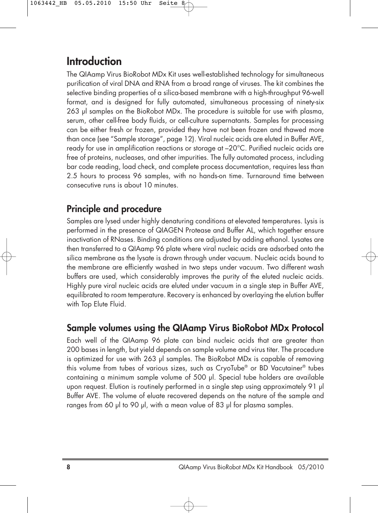## **Introduction**

The QIAamp Virus BioRobot MDx Kit uses well-established technology for simultaneous purification of viral DNA and RNA from a broad range of viruses. The kit combines the selective binding properties of a silica-based membrane with a high-throughput 96-well format, and is designed for fully automated, simultaneous processing of ninety-six 263 µl samples on the BioRobot MDx. The procedure is suitable for use with plasma, serum, other cell-free body fluids, or cell-culture supernatants. Samples for processing can be either fresh or frozen, provided they have not been frozen and thawed more than once (see "Sample storage", page 12). Viral nucleic acids are eluted in Buffer AVE, ready for use in amplification reactions or storage at –20°C. Purified nucleic acids are free of proteins, nucleases, and other impurities. The fully automated process, including bar code reading, load check, and complete process documentation, requires less than 2.5 hours to process 96 samples, with no hands-on time. Turnaround time between consecutive runs is about 10 minutes.

### **Principle and procedure**

Samples are lysed under highly denaturing conditions at elevated temperatures. Lysis is performed in the presence of QIAGEN Protease and Buffer AL, which together ensure inactivation of RNases. Binding conditions are adjusted by adding ethanol. Lysates are then transferred to a QIAamp 96 plate where viral nucleic acids are adsorbed onto the silica membrane as the lysate is drawn through under vacuum. Nucleic acids bound to the membrane are efficiently washed in two steps under vacuum. Two different wash buffers are used, which considerably improves the purity of the eluted nucleic acids. Highly pure viral nucleic acids are eluted under vacuum in a single step in Buffer AVE, equilibrated to room temperature. Recovery is enhanced by overlaying the elution buffer with Top Elute Fluid.

### **Sample volumes using the QIAamp Virus BioRobot MDx Protocol**

Each well of the QIAamp 96 plate can bind nucleic acids that are greater than 200 bases in length, but yield depends on sample volume and virus titer. The procedure is optimized for use with 263 µl samples. The BioRobot MDx is capable of removing this volume from tubes of various sizes, such as CryoTube® or BD Vacutainer® tubes containing a minimum sample volume of 500 µl. Special tube holders are available upon request. Elution is routinely performed in a single step using approximately 91 µl Buffer AVE. The volume of eluate recovered depends on the nature of the sample and ranges from 60 µl to 90 µl, with a mean value of 83 µl for plasma samples.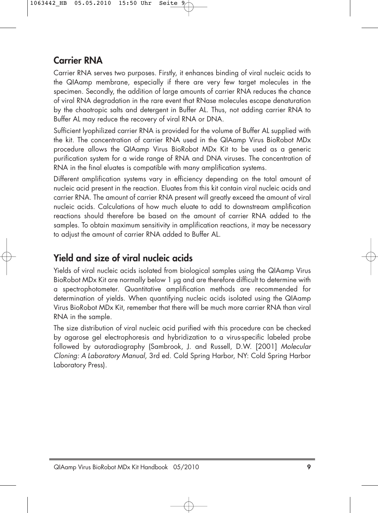### **Carrier RNA**

Carrier RNA serves two purposes. Firstly, it enhances binding of viral nucleic acids to the QIAamp membrane, especially if there are very few target molecules in the specimen. Secondly, the addition of large amounts of carrier RNA reduces the chance of viral RNA degradation in the rare event that RNase molecules escape denaturation by the chaotropic salts and detergent in Buffer AL. Thus, not adding carrier RNA to Buffer AL may reduce the recovery of viral RNA or DNA.

Sufficient lyophilized carrier RNA is provided for the volume of Buffer AL supplied with the kit. The concentration of carrier RNA used in the QIAamp Virus BioRobot MDx procedure allows the QIAamp Virus BioRobot MDx Kit to be used as a generic purification system for a wide range of RNA and DNA viruses. The concentration of RNA in the final eluates is compatible with many amplification systems.

Different amplification systems vary in efficiency depending on the total amount of nucleic acid present in the reaction. Eluates from this kit contain viral nucleic acids and carrier RNA. The amount of carrier RNA present will greatly exceed the amount of viral nucleic acids. Calculations of how much eluate to add to downstream amplification reactions should therefore be based on the amount of carrier RNA added to the samples. To obtain maximum sensitivity in amplification reactions, it may be necessary to adjust the amount of carrier RNA added to Buffer AL.

### **Yield and size of viral nucleic acids**

Yields of viral nucleic acids isolated from biological samples using the QIAamp Virus BioRobot MDx Kit are normally below 1 µg and are therefore difficult to determine with a spectrophotometer. Quantitative amplification methods are recommended for determination of yields. When quantifying nucleic acids isolated using the QIAamp Virus BioRobot MDx Kit, remember that there will be much more carrier RNA than viral RNA in the sample.

The size distribution of viral nucleic acid purified with this procedure can be checked by agarose gel electrophoresis and hybridization to a virus-specific labeled probe followed by autoradiography (Sambrook, J. and Russell, D.W. [2001] Molecular Cloning: A Laboratory Manual, 3rd ed. Cold Spring Harbor, NY: Cold Spring Harbor Laboratory Press).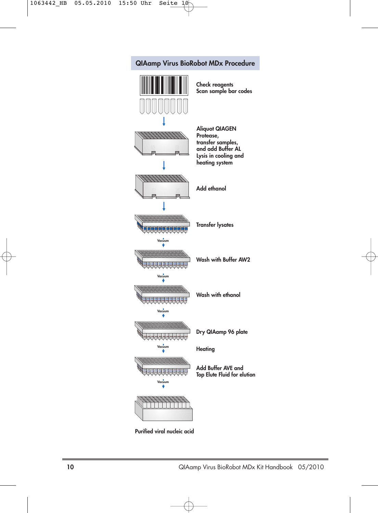

**Purified viral nucleic acid**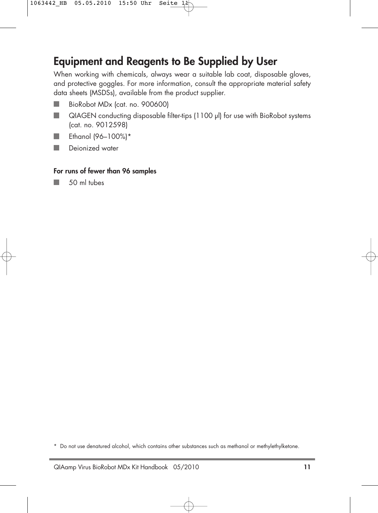## **Equipment and Reagents to Be Supplied by User**

When working with chemicals, always wear a suitable lab coat, disposable gloves, and protective goggles. For more information, consult the appropriate material safety data sheets (MSDSs), available from the product supplier.

- BioRobot MDx (cat. no. 900600) F.
- QIAGEN conducting disposable filter-tips (1100 µl) for use with BioRobot systems  $\mathcal{C}^{\mathcal{A}}$ (cat. no. 9012598)
- Ethanol (96–100%)\*  $\mathbb{R}^n$
- $\mathbb{R}^n$ Deionized water

### **For runs of fewer than 96 samples**

50 ml tubes

 $\mathbb{R}^n$ 

<sup>\*</sup> Do not use denatured alcohol, which contains other substances such as methanol or methylethylketone.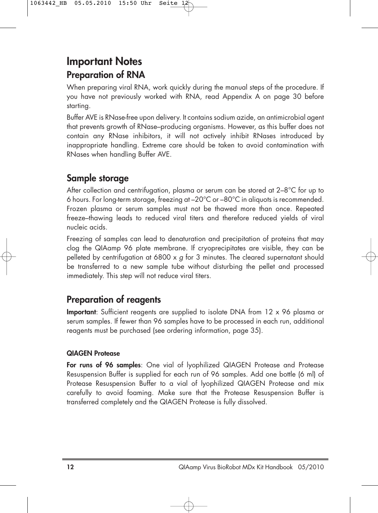## **Important Notes Preparation of RNA**

When preparing viral RNA, work quickly during the manual steps of the procedure. If you have not previously worked with RNA, read Appendix A on page 30 before starting.

Buffer AVE is RNase-free upon delivery. It contains sodium azide, an antimicrobial agent that prevents growth of RNase–producing organisms. However, as this buffer does not contain any RNase inhibitors, it will not actively inhibit RNases introduced by inappropriate handling. Extreme care should be taken to avoid contamination with RNases when handling Buffer AVE.

### **Sample storage**

After collection and centrifugation, plasma or serum can be stored at 2–8°C for up to 6 hours. For long-term storage, freezing at –20°C or –80°C in aliquots is recommended. Frozen plasma or serum samples must not be thawed more than once. Repeated freeze–thawing leads to reduced viral titers and therefore reduced yields of viral nucleic acids.

Freezing of samples can lead to denaturation and precipitation of proteins that may clog the QIAamp 96 plate membrane. If cryoprecipitates are visible, they can be pelleted by centrifugation at 6800  $\times$  g for 3 minutes. The cleared supernatant should be transferred to a new sample tube without disturbing the pellet and processed immediately. This step will not reduce viral titers.

### **Preparation of reagents**

**Important**: Sufficient reagents are supplied to isolate DNA from 12 x 96 plasma or serum samples. If fewer than 96 samples have to be processed in each run, additional reagents must be purchased (see ordering information, page 35).

### **QIAGEN Protease**

**For runs of 96 samples**: One vial of lyophilized QIAGEN Protease and Protease Resuspension Buffer is supplied for each run of 96 samples. Add one bottle (6 ml) of Protease Resuspension Buffer to a vial of lyophilized QIAGEN Protease and mix carefully to avoid foaming. Make sure that the Protease Resuspension Buffer is transferred completely and the QIAGEN Protease is fully dissolved.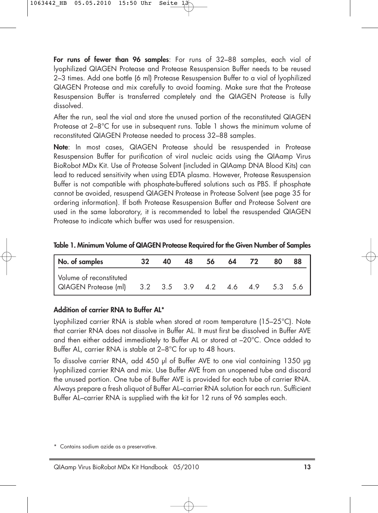**For runs of fewer than 96 samples**: For runs of 32–88 samples, each vial of lyophilized QIAGEN Protease and Protease Resuspension Buffer needs to be reused 2–3 times. Add one bottle (6 ml) Protease Resuspension Buffer to a vial of lyophilized QIAGEN Protease and mix carefully to avoid foaming. Make sure that the Protease Resuspension Buffer is transferred completely and the QIAGEN Protease is fully dissolved.

After the run, seal the vial and store the unused portion of the reconstituted QIAGEN Protease at 2–8°C for use in subsequent runs. Table 1 shows the minimum volume of reconstituted QIAGEN Protease needed to process 32–88 samples.

**Note**: In most cases, QIAGEN Protease should be resuspended in Protease Resuspension Buffer for purification of viral nucleic acids using the QIAamp Virus BioRobot MDx Kit. Use of Protease Solvent (included in QIAamp DNA Blood Kits) can lead to reduced sensitivity when using EDTA plasma. However, Protease Resuspension Buffer is not compatible with phosphate-buffered solutions such as PBS. If phosphate cannot be avoided, resuspend QIAGEN Protease in Protease Solvent (see page 35 for ordering information). If both Protease Resuspension Buffer and Protease Solvent are used in the same laboratory, it is recommended to label the resuspended QIAGEN Protease to indicate which buffer was used for resuspension.

| No. of samples          | 32 | 40 | 48 | 56 | -64 | 80      |  |
|-------------------------|----|----|----|----|-----|---------|--|
| Volume of reconstituted |    |    |    |    |     | 5.3 5.6 |  |

| Table 1. Minimum Volume of QIAGEN Protease Required for the Given Number of Samples |  |
|-------------------------------------------------------------------------------------|--|
|-------------------------------------------------------------------------------------|--|

### **Addition of carrier RNA to Buffer AL\***

Lyophilized carrier RNA is stable when stored at room temperature (15–25°C). Note that carrier RNA does not dissolve in Buffer AL. It must first be dissolved in Buffer AVE and then either added immediately to Buffer AL or stored at –20°C. Once added to Buffer AL, carrier RNA is stable at 2–8°C for up to 48 hours.

To dissolve carrier RNA, add 450 µl of Buffer AVE to one vial containing 1350 µg lyophilized carrier RNA and mix. Use Buffer AVE from an unopened tube and discard the unused portion. One tube of Buffer AVE is provided for each tube of carrier RNA. Always prepare a fresh aliquot of Buffer AL–carrier RNA solution for each run. Sufficient Buffer AL–carrier RNA is supplied with the kit for 12 runs of 96 samples each.

<sup>\*</sup> Contains sodium azide as a preservative.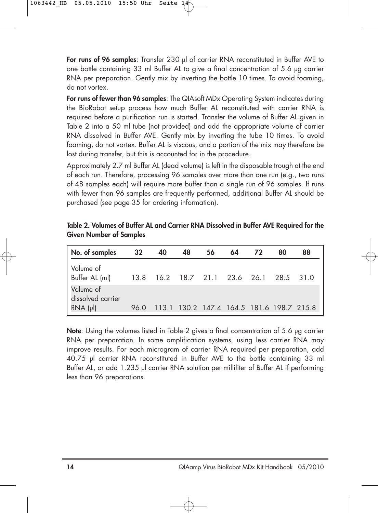**For runs of 96 samples**: Transfer 230 µl of carrier RNA reconstituted in Buffer AVE to one bottle containing 33 ml Buffer AL to give a final concentration of 5.6 µg carrier RNA per preparation. Gently mix by inverting the bottle 10 times. To avoid foaming, do not vortex.

**For runs of fewer than 96 samples**: The QIAsoft MDx Operating System indicates during the BioRobot setup process how much Buffer AL reconstituted with carrier RNA is required before a purification run is started. Transfer the volume of Buffer AL given in Table 2 into a 50 ml tube (not provided) and add the appropriate volume of carrier RNA dissolved in Buffer AVE. Gently mix by inverting the tube 10 times. To avoid foaming, do not vortex. Buffer AL is viscous, and a portion of the mix may therefore be lost during transfer, but this is accounted for in the procedure.

Approximately 2.7 ml Buffer AL (dead volume) is left in the disposable trough at the end of each run. Therefore, processing 96 samples over more than one run (e.g., two runs of 48 samples each) will require more buffer than a single run of 96 samples. If runs with fewer than 96 samples are frequently performed, additional Buffer AL should be purchased (see page 35 for ordering information).

| No. of samples                                     | 32 <sub>2</sub> | 40                                        | 48 | 56 | 64 | 72 | 80 | 88 |
|----------------------------------------------------|-----------------|-------------------------------------------|----|----|----|----|----|----|
| l Volume of                                        |                 |                                           |    |    |    |    |    |    |
| Volume of<br>dissolved carrier<br>$RNA$ ( $\mu$ I) | 96.0            | 113.1 130.2 147.4 164.5 181.6 198.7 215.8 |    |    |    |    |    |    |

**Table 2. Volumes of Buffer AL and Carrier RNA Dissolved in Buffer AVE Required for the Given Number of Samples**

**Note**: Using the volumes listed in Table 2 gives a final concentration of 5.6 µg carrier RNA per preparation. In some amplification systems, using less carrier RNA may improve results. For each microgram of carrier RNA required per preparation, add 40.75 µl carrier RNA reconstituted in Buffer AVE to the bottle containing 33 ml Buffer AL, or add 1.235 µl carrier RNA solution per milliliter of Buffer AL if performina less than 96 preparations.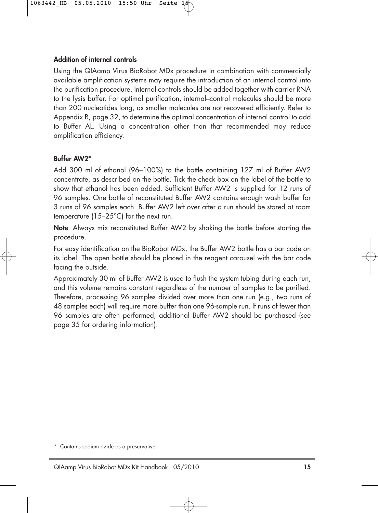### **Addition of internal controls**

Using the QIAamp Virus BioRobot MDx procedure in combination with commercially available amplification systems may require the introduction of an internal control into the purification procedure. Internal controls should be added together with carrier RNA to the lysis buffer. For optimal purification, internal–control molecules should be more than 200 nucleotides long, as smaller molecules are not recovered efficiently. Refer to Appendix B, page 32, to determine the optimal concentration of internal control to add to Buffer AL. Using a concentration other than that recommended may reduce amplification efficiency.

### **Buffer AW2\***

Add 300 ml of ethanol (96–100%) to the bottle containing 127 ml of Buffer AW2 concentrate, as described on the bottle. Tick the check box on the label of the bottle to show that ethanol has been added. Sufficient Buffer AW2 is supplied for 12 runs of 96 samples. One bottle of reconstituted Buffer AW2 contains enough wash buffer for 3 runs of 96 samples each. Buffer AW2 left over after a run should be stored at room temperature (15–25°C) for the next run.

**Note**: Always mix reconstituted Buffer AW2 by shaking the bottle before starting the procedure.

For easy identification on the BioRobot MDx, the Buffer AW2 bottle has a bar code on its label. The open bottle should be placed in the reagent carousel with the bar code facing the outside.

Approximately 30 ml of Buffer AW2 is used to flush the system tubing during each run, and this volume remains constant regardless of the number of samples to be purified. Therefore, processing 96 samples divided over more than one run (e.g., two runs of 48 samples each) will require more buffer than one 96-sample run. If runs of fewer than 96 samples are often performed, additional Buffer AW2 should be purchased (see page 35 for ordering information).

<sup>\*</sup> Contains sodium azide as a preservative.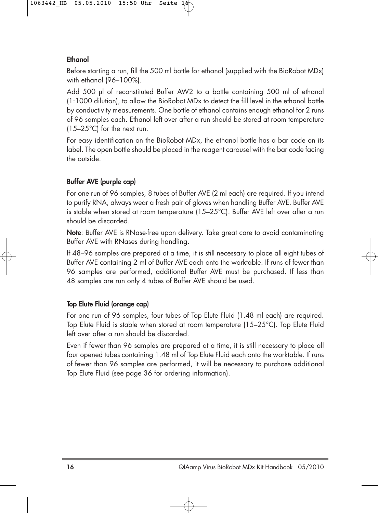### **Ethanol**

Before starting a run, fill the 500 ml bottle for ethanol (supplied with the BioRobot MDx) with ethanol (96–100%).

Add 500 µl of reconstituted Buffer AW2 to a bottle containing 500 ml of ethanol (1:1000 dilution), to allow the BioRobot MDx to detect the fill level in the ethanol bottle by conductivity measurements. One bottle of ethanol contains enough ethanol for 2 runs of 96 samples each. Ethanol left over after a run should be stored at room temperature (15–25°C) for the next run.

For easy identification on the BioRobot MDx, the ethanol bottle has a bar code on its label. The open bottle should be placed in the reagent carousel with the bar code facing the outside.

### **Buffer AVE (purple cap)**

For one run of 96 samples, 8 tubes of Buffer AVE (2 ml each) are required. If you intend to purify RNA, always wear a fresh pair of gloves when handling Buffer AVE. Buffer AVE is stable when stored at room temperature (15–25°C). Buffer AVE left over after a run should be discarded.

**Note**: Buffer AVE is RNase-free upon delivery. Take great care to avoid contaminating Buffer AVE with RNases during handling.

If 48–96 samples are prepared at a time, it is still necessary to place all eight tubes of Buffer AVE containing 2 ml of Buffer AVE each onto the worktable. If runs of fewer than 96 samples are performed, additional Buffer AVE must be purchased. If less than 48 samples are run only 4 tubes of Buffer AVE should be used.

### **Top Elute Fluid (orange cap)**

For one run of 96 samples, four tubes of Top Elute Fluid (1.48 ml each) are required. Top Elute Fluid is stable when stored at room temperature (15–25°C). Top Elute Fluid left over after a run should be discarded.

Even if fewer than 96 samples are prepared at a time, it is still necessary to place all four opened tubes containing 1.48 ml of Top Elute Fluid each onto the worktable. If runs of fewer than 96 samples are performed, it will be necessary to purchase additional Top Elute Fluid (see page 36 for ordering information).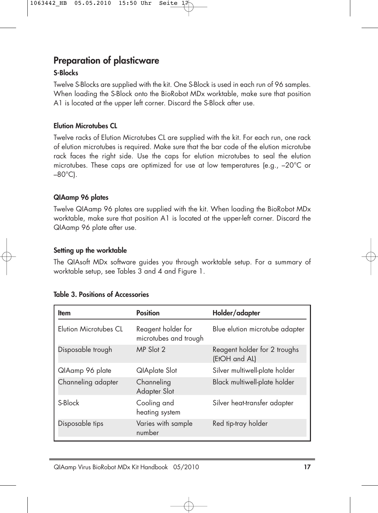### **Preparation of plasticware**

### **S-Blocks**

Twelve S-Blocks are supplied with the kit. One S-Block is used in each run of 96 samples. When loading the S-Block onto the BioRobot MDx worktable, make sure that position A1 is located at the upper left corner. Discard the S-Block after use.

### **Elution Microtubes CL**

Twelve racks of Elution Microtubes CL are supplied with the kit. For each run, one rack of elution microtubes is required. Make sure that the bar code of the elution microtube rack faces the right side. Use the caps for elution microtubes to seal the elution microtubes. These caps are optimized for use at low temperatures (e.g., –20°C or  $-80^{\circ}$ C).

### **QIAamp 96 plates**

Twelve QIAamp 96 plates are supplied with the kit. When loading the BioRobot MDx worktable, make sure that position A1 is located at the upper-left corner. Discard the QIAamp 96 plate after use.

### **Setting up the worktable**

The QIAsoft MDx software guides you through worktable setup. For a summary of worktable setup, see Tables 3 and 4 and Figure 1.

| <b>Item</b>           | <b>Position</b>                             | Holder/adapter                                |
|-----------------------|---------------------------------------------|-----------------------------------------------|
| Elution Microtubes CL | Reagent holder for<br>microtubes and trough | Blue elution microtube adapter                |
| Disposable trough     | MP Slot 2                                   | Reagent holder for 2 troughs<br>(EtOH and AL) |
| QIAamp 96 plate       | QIAplate Slot                               | Silver multiwell-plate holder                 |
| Channeling adapter    | Channeling<br>Adapter Slot                  | Black multiwell-plate holder                  |
| S-Block               | Cooling and<br>heating system               | Silver heat-transfer adapter                  |
| Disposable tips       | Varies with sample<br>number                | Red tip-tray holder                           |

### **Table 3. Positions of Accessories**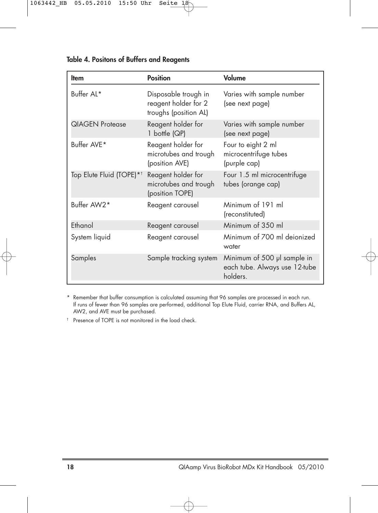| <b>Item</b>                          | <b>Position</b>                                                       | Volume                                                                   |
|--------------------------------------|-----------------------------------------------------------------------|--------------------------------------------------------------------------|
| Buffer AL*                           | Disposable trough in<br>reagent holder for 2<br>troughs (position AL) | Varies with sample number<br>(see next page)                             |
| <b>QIAGEN Protease</b>               | Reagent holder for<br>1 bottle (QP)                                   | Varies with sample number<br>(see next page)                             |
| Buffer AVE*                          | Reagent holder for<br>microtubes and trough<br>(position AVE)         | Four to eight 2 ml<br>microcentrifuge tubes<br>(purple cap)              |
| Top Elute Fluid (TOPE)* <sup>†</sup> | Reagent holder for<br>microtubes and trough<br>(position TOPE)        | Four 1.5 ml microcentrifuge<br>tubes (orange cap)                        |
| Buffer AW2*                          | Reagent carousel                                                      | Minimum of 191 ml<br>(reconstituted)                                     |
| Ethanol                              | Reagent carousel                                                      | Minimum of 350 ml                                                        |
| System liquid                        | Reagent carousel                                                      | Minimum of 700 ml deionized<br>water                                     |
| Samples                              | Sample tracking system                                                | Minimum of 500 µl sample in<br>each tube. Always use 12-tube<br>holders. |

**Table 4. Positons of Buffers and Reagents**

\* Remember that buffer consumption is calculated assuming that 96 samples are processed in each run. If runs of fewer than 96 samples are performed, additional Top Elute Fluid, carrier RNA, and Buffers AL, AW2, and AVE must be purchased.

† Presence of TOPE is not monitored in the load check.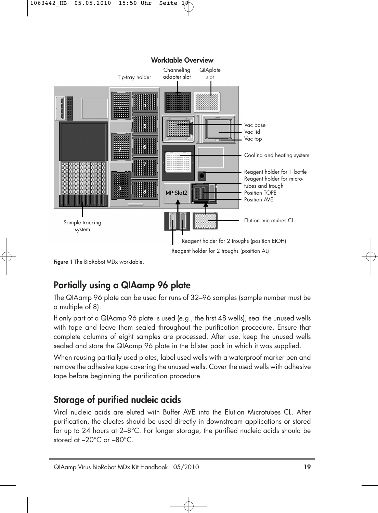### **Worktable Overview**



**Figure 1** The BioRobot MDx worktable.

### **Partially using a QIAamp 96 plate**

The QIAamp 96 plate can be used for runs of 32–96 samples (sample number must be a multiple of 8).

If only part of a QIAamp 96 plate is used (e.g., the first 48 wells), seal the unused wells with tape and leave them sealed throughout the purification procedure. Ensure that complete columns of eight samples are processed. After use, keep the unused wells sealed and store the QIAamp 96 plate in the blister pack in which it was supplied.

When reusing partially used plates, label used wells with a waterproof marker pen and remove the adhesive tape covering the unused wells. Cover the used wells with adhesive tape before beginning the purification procedure.

### **Storage of purified nucleic acids**

Viral nucleic acids are eluted with Buffer AVE into the Elution Microtubes CL. After purification, the eluates should be used directly in downstream applications or stored for up to 24 hours at 2–8°C. For longer storage, the purified nucleic acids should be stored at –20°C or –80°C.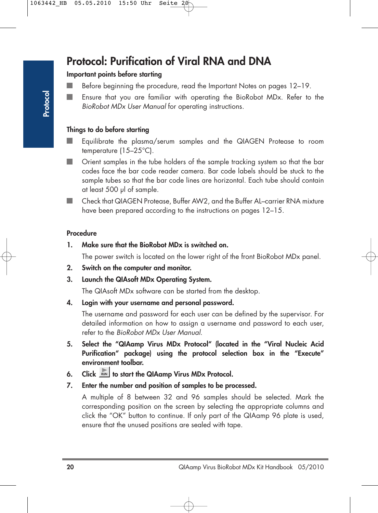## **Protocol: Purification of Viral RNA and DNA**

### **Important points before starting**

- n. Before beginning the procedure, read the Important Notes on pages 12–19.
- Ensure that you are familiar with operating the BioRobot MDx. Refer to the BioRobot MDx User Manual for operating instructions.

### **Things to do before starting**

- Equilibrate the plasma/serum samples and the QIAGEN Protease to room temperature (15–25°C).
- Orient samples in the tube holders of the sample tracking system so that the bar m. codes face the bar code reader camera. Bar code labels should be stuck to the sample tubes so that the bar code lines are horizontal. Each tube should contain at least 500 µl of sample.
- Check that QIAGEN Protease, Buffer AW2, and the Buffer AL–carrier RNA mixture u. have been prepared according to the instructions on pages 12–15.

#### **Procedure**

**1. Make sure that the BioRobot MDx is switched on.**

The power switch is located on the lower right of the front BioRobot MDx panel.

- **2. Switch on the computer and monitor.**
- **3. Launch the QIAsoft MDx Operating System.**

The QIAsoft MDx software can be started from the desktop.

**4. Login with your username and personal password.**

The username and password for each user can be defined by the supervisor. For detailed information on how to assign a username and password to each user, refer to the BioRobot MDx User Manual.

- **5. Select the "QIAamp Virus MDx Protocol" (located in the "Viral Nucleic Acid Purification" package) using the protocol selection box in the "Execute" environment toolbar.**
- **6.** Click will to start the QIAamp Virus MDx Protocol.
- **7. Enter the number and position of samples to be processed.**

A multiple of 8 between 32 and 96 samples should be selected. Mark the corresponding position on the screen by selecting the appropriate columns and click the "OK" button to continue. If only part of the QIAamp 96 plate is used, ensure that the unused positions are sealed with tape.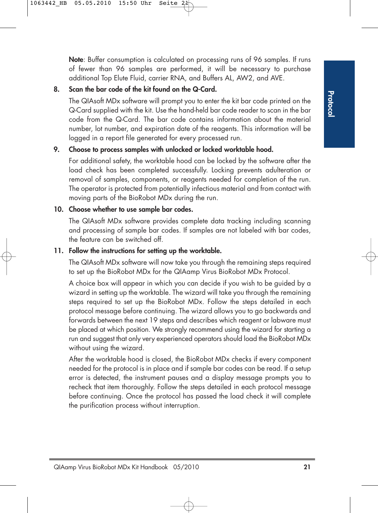**Note**: Buffer consumption is calculated on processing runs of 96 samples. If runs of fewer than 96 samples are performed, it will be necessary to purchase additional Top Elute Fluid, carrier RNA, and Buffers AL, AW2, and AVE.

### **8. Scan the bar code of the kit found on the Q-Card.**

The QIAsoft MDx software will prompt you to enter the kit bar code printed on the Q-Card supplied with the kit. Use the hand-held bar code reader to scan in the bar code from the Q-Card. The bar code contains information about the material number, lot number, and expiration date of the reagents. This information will be logged in a report file generated for every processed run.

### **9. Choose to process samples with unlocked or locked worktable hood.**

For additional safety, the worktable hood can be locked by the software after the load check has been completed successfully. Locking prevents adulteration or removal of samples, components, or reagents needed for completion of the run. The operator is protected from potentially infectious material and from contact with moving parts of the BioRobot MDx during the run.

### **10. Choose whether to use sample bar codes.**

The QIAsoft MDx software provides complete data tracking including scanning and processing of sample bar codes. If samples are not labeled with bar codes, the feature can be switched off.

### **11. Follow the instructions for setting up the worktable.**

The QIAsoft MDx software will now take you through the remaining steps required to set up the BioRobot MDx for the QIAamp Virus BioRobot MDx Protocol.

A choice box will appear in which you can decide if you wish to be guided by a wizard in setting up the worktable. The wizard will take you through the remaining steps required to set up the BioRobot MDx. Follow the steps detailed in each protocol message before continuing. The wizard allows you to go backwards and forwards between the next 19 steps and describes which reagent or labware must be placed at which position. We strongly recommend using the wizard for starting a run and suggest that only very experienced operators should load the BioRobot MDx without using the wizard.

After the worktable hood is closed, the BioRobot MDx checks if every component needed for the protocol is in place and if sample bar codes can be read. If a setup error is detected, the instrument pauses and a display message prompts you to recheck that item thoroughly. Follow the steps detailed in each protocol message before continuing. Once the protocol has passed the load check it will complete the purification process without interruption.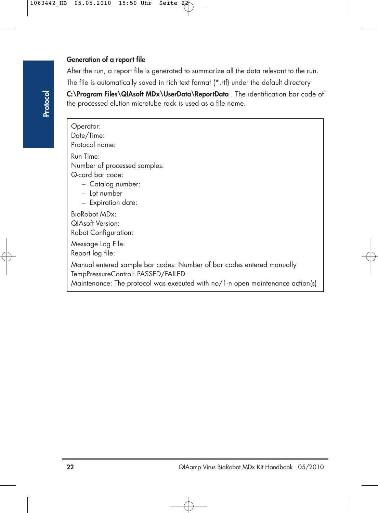### **Generation of a report file**

After the run, a report file is generated to summarize all the data relevant to the run. The file is automatically saved in rich text format (\*.rtf) under the default directory **C:\Program Files\QIAsoft MDx\UserData\ReportData** . The identification bar code of

the processed elution microtube rack is used as a file name.

Operator: Date/Time: Protocol name: Run Time: Number of processed samples: Q-card bar code: – Catalog number: – Lot number – Expiration date: BioRobot MDx: QIAsoft Version: Robot Configuration: Message Log File: Report log file: Manual entered sample bar codes: Number of bar codes entered manually TempPressureControl: PASSED/FAILED Maintenance: The protocol was executed with no/1-n open maintenance action(s)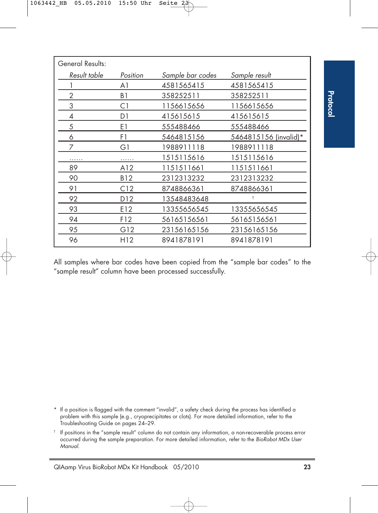| General Results: |                 |                  |                       |
|------------------|-----------------|------------------|-----------------------|
| Result table     | Position        | Sample bar codes | Sample result         |
|                  | A1              | 4581565415       | 4581565415            |
| 2                | B1              | 358252511        | 358252511             |
| 3                | C1              | 1156615656       | 1156615656            |
| 4                | D1              | 415615615        | 415615615             |
| 5                | E1              | 555488466        | 555488466             |
| 6                | F1              | 5464815156       | 5464815156 (invalid)* |
| 7                | G1              | 1988911118       | 1988911118            |
| .                |                 | 1515115616       | 1515115616            |
| 89               | A12             | 1151511661       | 1151511661            |
| 90               | B12             | 2312313232       | 2312313232            |
| 91               | C12             | 8748866361       | 8748866361            |
| 92               | D <sub>12</sub> | 13548483648      | Ť                     |
| 93               | E12             | 13355656545      | 13355656545           |
| 94               | F12             | 56165156561      | 56165156561           |
| 95               | G12             | 23156165156      | 23156165156           |
| 96               | H12             | 8941878191       | 8941878191            |

All samples where bar codes have been copied from the "sample bar codes" to the "sample result" column have been processed successfully.

\* If a position is flagged with the comment "invalid", a safety check during the process has identified a problem with this sample (e.g., cryoprecipitates or clots). For more detailed information, refer to the Troubleshooting Guide on pages 24–29.

 $\dagger$  If positions in the "sample result" column do not contain any information, a non-recoverable process error occurred during the sample preparation. For more detailed information, refer to the BioRobot MDx User Manual.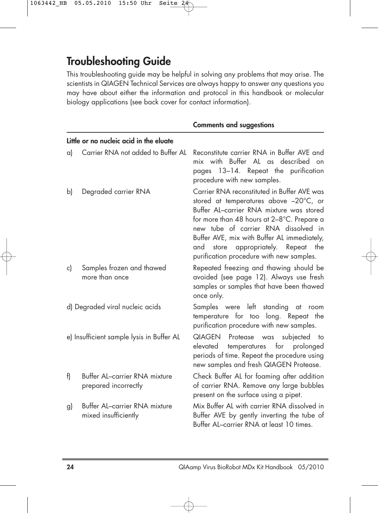## **Troubleshooting Guide**

This troubleshooting guide may be helpful in solving any problems that may arise. The scientists in QIAGEN Technical Services are always happy to answer any questions you may have about either the information and protocol in this handbook or molecular biology applications (see back cover for contact information).

|    |                                                       | <b>Comments and suggestions</b>                                                                                                                                                                                                                                                                                                                                 |
|----|-------------------------------------------------------|-----------------------------------------------------------------------------------------------------------------------------------------------------------------------------------------------------------------------------------------------------------------------------------------------------------------------------------------------------------------|
|    | Little or no nucleic acid in the eluate               |                                                                                                                                                                                                                                                                                                                                                                 |
| a) | Carrier RNA not added to Buffer AL                    | Reconstitute carrier RNA in Buffer AVE and<br>mix with Buffer AL as described on<br>pages 13-14. Repeat the purification<br>procedure with new samples.                                                                                                                                                                                                         |
| b) | Degraded carrier RNA                                  | Carrier RNA reconstituted in Buffer AVE was<br>stored at temperatures above -20°C, or<br>Buffer AL-carrier RNA mixture was stored<br>for more than 48 hours at 2-8°C. Prepare a<br>new tube of carrier RNA dissolved in<br>Buffer AVE, mix with Buffer AL immediately,<br>store appropriately. Repeat<br>and<br>the<br>purification procedure with new samples. |
| c) | Samples frozen and thawed<br>more than once           | Repeated freezing and thawing should be<br>avoided (see page 12). Always use fresh<br>samples or samples that have been thawed<br>once only.                                                                                                                                                                                                                    |
|    | d) Degraded viral nucleic acids                       | Samples were left standing<br>at<br>room<br>temperature for too long. Repeat the<br>purification procedure with new samples.                                                                                                                                                                                                                                    |
|    | e) Insufficient sample lysis in Buffer AL             | Protease was subjected to<br>QIAGEN<br>temperatures for<br>prolonged<br>elevated<br>periods of time. Repeat the procedure using<br>new samples and fresh QIAGEN Protease.                                                                                                                                                                                       |
| f) | Buffer AL-carrier RNA mixture<br>prepared incorrectly | Check Buffer AL for foaming after addition<br>of carrier RNA. Remove any large bubbles<br>present on the surface using a pipet.                                                                                                                                                                                                                                 |
| g) | Buffer AL-carrier RNA mixture<br>mixed insufficiently | Mix Buffer AL with carrier RNA dissolved in<br>Buffer AVE by gently inverting the tube of<br>Buffer AL-carrier RNA at least 10 times.                                                                                                                                                                                                                           |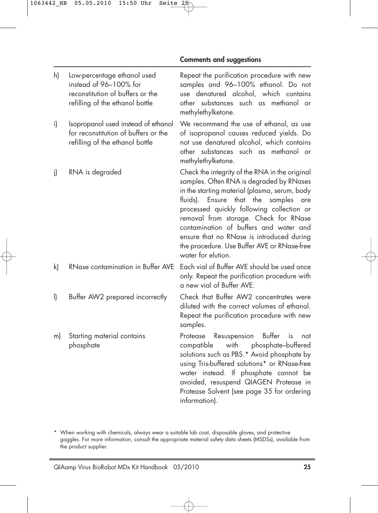#### **Comments and suggestions**

| h)      | Low-percentage ethanol used<br>instead of 96-100% for<br>reconstitution of buffers or the<br>refilling of the ethanol bottle | Repeat the purification procedure with new<br>samples and 96-100% ethanol. Do not<br>use denatured alcohol, which contains<br>other substances such as methanol or<br>methylethylketone.                                                                                                                                                                                                                                                    |
|---------|------------------------------------------------------------------------------------------------------------------------------|---------------------------------------------------------------------------------------------------------------------------------------------------------------------------------------------------------------------------------------------------------------------------------------------------------------------------------------------------------------------------------------------------------------------------------------------|
| i)      | Isopropanol used instead of ethanol<br>for reconstitution of buffers or the<br>refilling of the ethanol bottle               | We recommend the use of ethanol, as use<br>of isopropanol causes reduced yields. Do<br>not use denatured alcohol, which contains<br>other substances such as methanol or<br>methylethylketone.                                                                                                                                                                                                                                              |
| i)      | RNA is degraded                                                                                                              | Check the integrity of the RNA in the original<br>samples. Often RNA is degraded by RNases<br>in the starting material (plasma, serum, body<br>fluids). Ensure that the<br>samples<br>are<br>processed quickly following collection or<br>removal from storage. Check for RNase<br>contamination of buffers and water and<br>ensure that no RNase is introduced during<br>the procedure. Use Buffer AVE or RNase-free<br>water for elution. |
| k)      | RNase contamination in Buffer AVE                                                                                            | Each vial of Buffer AVE should be used once<br>only. Repeat the purification procedure with<br>a new vial of Buffer AVE.                                                                                                                                                                                                                                                                                                                    |
| $\vert$ | Buffer AW2 prepared incorrectly                                                                                              | Check that Buffer AW2 concentrates were<br>diluted with the correct volumes of ethanol.<br>Repeat the purification procedure with new<br>samples.                                                                                                                                                                                                                                                                                           |
| m)      | Starting material contains<br>phosphate                                                                                      | Protease Resuspension<br>Buffer<br>is<br>not<br>with<br>phosphate-buffered<br>compatible<br>solutions such as PBS.* Avoid phosphate by<br>using Tris-buffered solutions* or RNase-free<br>water instead. If phosphate cannot be<br>avoided, resuspend QIAGEN Protease in<br>Protease Solvent (see page 35 for ordering<br>information).                                                                                                     |

\* When working with chemicals, always wear a suitable lab coat, disposable gloves, and protective goggles. For more information, consult the appropriate material safety data sheets (MSDSs), available from the product supplier.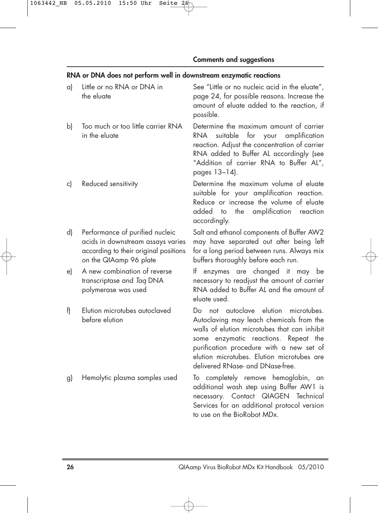### **RNA or DNA does not perform well in downstream enzymatic reactions**

| a) | Little or no RNA or DNA in<br>the eluate                                                                                                | See "Little or no nucleic acid in the eluate",<br>page 24, for possible reasons. Increase the<br>amount of eluate added to the reaction, if<br>possible.                                                                                                                                               |
|----|-----------------------------------------------------------------------------------------------------------------------------------------|--------------------------------------------------------------------------------------------------------------------------------------------------------------------------------------------------------------------------------------------------------------------------------------------------------|
| b) | Too much or too little carrier RNA<br>in the eluate                                                                                     | Determine the maximum amount of carrier<br>suitable for your amplification<br><b>RNA</b><br>reaction. Adjust the concentration of carrier<br>RNA added to Buffer AL accordingly (see<br>"Addition of carrier RNA to Buffer AL",<br>pages 13-14).                                                       |
| c) | Reduced sensitivity                                                                                                                     | Determine the maximum volume of eluate<br>suitable for your amplification reaction.<br>Reduce or increase the volume of eluate<br>the amplification reaction<br>added to<br>accordingly.                                                                                                               |
| d) | Performance of purified nucleic<br>acids in downstream assays varies<br>according to their original positions<br>on the QIAamp 96 plate | Salt and ethanol components of Buffer AW2<br>may have separated out after being left<br>for a long period between runs. Always mix<br>buffers thoroughly before each run.                                                                                                                              |
| e) | A new combination of reverse<br>transcriptase and Taq DNA<br>polymerase was used                                                        | enzymes are changed it may be<br>lf.<br>necessary to readjust the amount of carrier<br>RNA added to Buffer AL and the amount of<br>eluate used.                                                                                                                                                        |
| f) | Elution microtubes autoclaved<br>before elution                                                                                         | Do not autoclave elution microtubes.<br>Autoclaving may leach chemicals from the<br>walls of elution microtubes that can inhibit<br>some enzymatic reactions. Repeat the<br>purification procedure with a new set of<br>elution microtubes. Elution microtubes are<br>delivered RNase- and DNase-free. |
| g) | Hemolytic plasma samples used                                                                                                           | To completely remove hemoglobin, an<br>additional wash step using Buffer AW1 is<br>necessary. Contact QIAGEN Technical<br>Services for an additional protocol version<br>to use on the BioRobot MDx.                                                                                                   |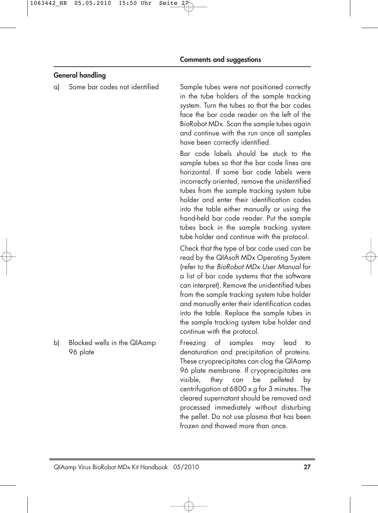### **General handling**

a) Some bar codes not identified Sample tubes were not positioned correctly in the tube holders of the sample tracking system. Turn the tubes so that the bar codes face the bar code reader on the left of the BioRobot MDx. Scan the sample tubes again and continue with the run once all samples have been correctly identified.

> Bar code labels should be stuck to the sample tubes so that the bar code lines are horizontal. If some bar code labels were incorrectly oriented, remove the unidentified tubes from the sample tracking system tube holder and enter their identification codes into the table either manually or using the hand-held bar code reader. Put the sample tubes back in the sample tracking system tube holder and continue with the protocol.

> Check that the type of bar code used can be read by the QIAsoft MDx Operating System (refer to the BioRobot MDx User Manual for a list of bar code systems that the software can interpret). Remove the unidentified tubes from the sample tracking system tube holder and manually enter their identification codes into the table. Replace the sample tubes in the sample tracking system tube holder and continue with the protocol.

b) Blocked wells in the QIAamp Freezing of samples may lead to 96 plate denaturation and precipitation of proteins. These cryoprecipitates can clog the QIAamp 96 plate membrane. If cryoprecipitates are visible, they can be pelleted by centrifugation at 6800  $\times$  g for 3 minutes. The cleared supernatant should be removed and processed immediately without disturbing the pellet. Do not use plasma that has been frozen and thawed more than once.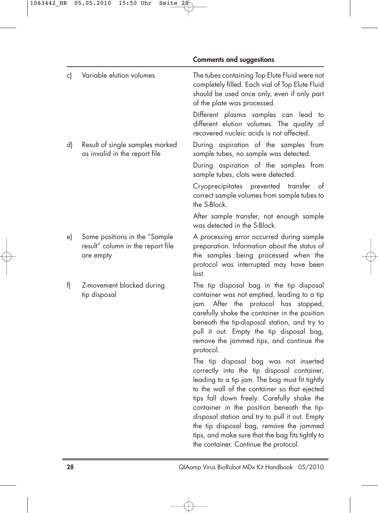| c) | Variable elution volumes                                                        | The tubes containing Top Elute Fluid were not<br>completely filled. Each vial of Top Elute Fluid<br>should be used once only, even if only part<br>of the plate was processed.                                                                                                                                                                                                                                                                                              |
|----|---------------------------------------------------------------------------------|-----------------------------------------------------------------------------------------------------------------------------------------------------------------------------------------------------------------------------------------------------------------------------------------------------------------------------------------------------------------------------------------------------------------------------------------------------------------------------|
|    |                                                                                 | Different plasma samples can lead<br>to<br>different elution volumes. The quality of<br>recovered nucleic acids is not affected.                                                                                                                                                                                                                                                                                                                                            |
| d) | Result of single samples marked<br>as invalid in the report file                | During aspiration of the samples from<br>sample tubes, no sample was detected.                                                                                                                                                                                                                                                                                                                                                                                              |
|    |                                                                                 | During aspiration of the samples from<br>sample tubes, clots were detected.                                                                                                                                                                                                                                                                                                                                                                                                 |
|    |                                                                                 | Cryoprecipitates prevented<br>transter<br>ot<br>correct sample volumes from sample tubes to<br>the S-Block.                                                                                                                                                                                                                                                                                                                                                                 |
|    |                                                                                 | After sample transfer, not enough sample<br>was detected in the S-Block.                                                                                                                                                                                                                                                                                                                                                                                                    |
| e) | Some positions in the "Sample<br>result" column in the report file<br>are empty | A processing error occurred during sample<br>preparation. Information about the status of<br>the samples being processed when the<br>protocol was interrupted may have been<br>lost.                                                                                                                                                                                                                                                                                        |
| f) | Z-movement blocked during<br>tip disposal                                       | The tip disposal bag in the tip disposal<br>container was not emptied, leading to a tip<br>jam. After the protocol has stopped,<br>carefully shake the container in the position<br>beneath the tip-disposal station, and try to<br>pull it out. Empty the tip disposal bag,<br>remove the jammed tips, and continue the<br>protocol.                                                                                                                                       |
|    |                                                                                 | The tip disposal bag was not inserted<br>correctly into the tip disposal container,<br>leading to a tip jam. The bag must fit tightly<br>to the wall of the container so that ejected<br>tips fall down freely. Carefully shake the<br>container in the position beneath the tip-<br>disposal station and try to pull it out. Empty<br>the tip disposal bag, remove the jammed<br>tips, and make sure that the bag fits tightly to<br>the container. Continue the protocol. |

**Comments and suggestions**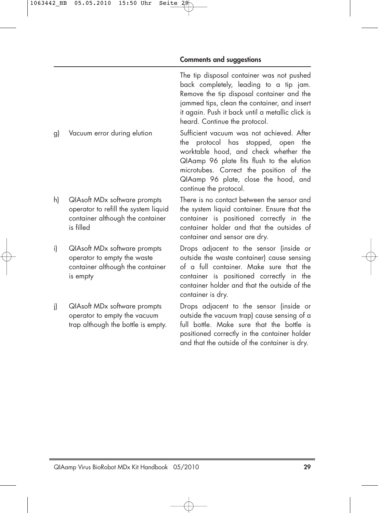The tip disposal container was not pushed back completely, leading to a tip jam. Remove the tip disposal container and the jammed tips, clean the container, and insert it again. Push it back until a metallic click is heard. Continue the protocol.

g) Vacuum error during elution Sufficient vacuum was not achieved. After the protocol has stopped, open the worktable hood, and check whether the QIAamp 96 plate fits flush to the elution microtubes. Correct the position of the QIAamp 96 plate, close the hood, and continue the protocol.

h) QIAsoft MDx software prompts There is no contact between the sensor and operator to refill the system liquid the system liquid container. Ensure that the container although the container container is positioned correctly in the is filled container holder and that the outsides of container and sensor are dry.

i) QIAsoft MDx software prompts Drops adjacent to the sensor (inside or operator to empty the waste outside the waste container) cause sensing container although the container of a full container. Make sure that the is empty container is positioned correctly in the container holder and that the outside of the container is dry.

j) QIAsoft MDx software prompts Drops adjacent to the sensor (inside or operator to empty the vacuum outside the vacuum trap) cause sensing of a trap although the bottle is empty. full bottle. Make sure that the bottle is positioned correctly in the container holder and that the outside of the container is dry.

- 
- 
-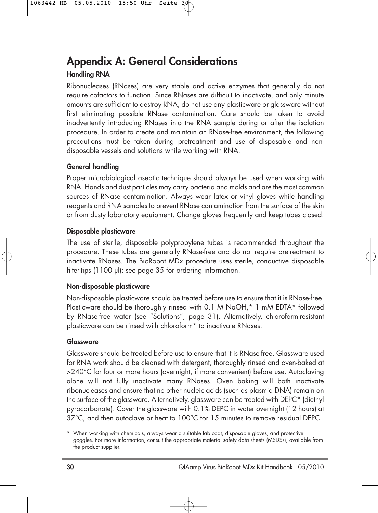## **Appendix A: General Considerations**

### **Handling RNA**

Ribonucleases (RNases) are very stable and active enzymes that generally do not require cofactors to function. Since RNases are difficult to inactivate, and only minute amounts are sufficient to destroy RNA, do not use any plasticware or glassware without first eliminating possible RNase contamination. Care should be taken to avoid inadvertently introducing RNases into the RNA sample during or after the isolation procedure. In order to create and maintain an RNase-free environment, the following precautions must be taken during pretreatment and use of disposable and nondisposable vessels and solutions while working with RNA.

### **General handling**

Proper microbiological aseptic technique should always be used when working with RNA. Hands and dust particles may carry bacteria and molds and are the most common sources of RNase contamination. Always wear latex or vinyl gloves while handling reagents and RNA samples to prevent RNase contamination from the surface of the skin or from dusty laboratory equipment. Change gloves frequently and keep tubes closed.

### **Disposable plasticware**

The use of sterile, disposable polypropylene tubes is recommended throughout the procedure. These tubes are generally RNase-free and do not require pretreatment to inactivate RNases. The BioRobot MDx procedure uses sterile, conductive disposable filter-tips (1100 µl); see page 35 for ordering information.

### **Non-disposable plasticware**

Non-disposable plasticware should be treated before use to ensure that it is RNase-free. Plasticware should be thoroughly rinsed with 0.1 M NaOH,\* 1 mM EDTA\* followed by RNase-free water (see "Solutions", page 31). Alternatively, chloroform-resistant plasticware can be rinsed with chloroform\* to inactivate RNases.

### **Glassware**

Glassware should be treated before use to ensure that it is RNase-free. Glassware used for RNA work should be cleaned with detergent, thoroughly rinsed and oven-baked at >240°C for four or more hours (overnight, if more convenient) before use. Autoclaving alone will not fully inactivate many RNases. Oven baking will both inactivate ribonucleases and ensure that no other nucleic acids (such as plasmid DNA) remain on the surface of the glassware. Alternatively, glassware can be treated with DEPC\* (diethyl pyrocarbonate). Cover the glassware with 0.1% DEPC in water overnight (12 hours) at 37°C, and then autoclave or heat to 100°C for 15 minutes to remove residual DEPC.

<sup>\*</sup> When working with chemicals, always wear a suitable lab coat, disposable gloves, and protective goggles. For more information, consult the appropriate material safety data sheets (MSDSs), available from the product supplier.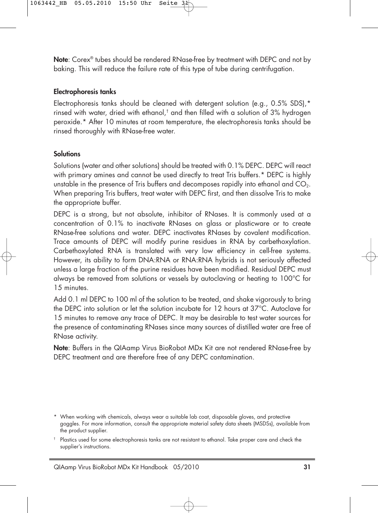**Note**: Corex® tubes should be rendered RNase-free by treatment with DEPC and not by baking. This will reduce the failure rate of this type of tube during centrifugation.

### **Electrophoresis tanks**

Electrophoresis tanks should be cleaned with detergent solution (e.g., 0.5% SDS),\* rinsed with water, dried with ethanol,† and then filled with a solution of 3% hydrogen peroxide.\* After 10 minutes at room temperature, the electrophoresis tanks should be rinsed thoroughly with RNase-free water.

### **Solutions**

Solutions (water and other solutions) should be treated with 0.1% DEPC. DEPC will react with primary amines and cannot be used directly to treat Tris buffers.\* DEPC is highly unstable in the presence of Tris buffers and decomposes rapidly into ethanol and  $CO<sub>2</sub>$ . When preparing Tris buffers, treat water with DEPC first, and then dissolve Tris to make the appropriate buffer.

DEPC is a strong, but not absolute, inhibitor of RNases. It is commonly used at a concentration of 0.1% to inactivate RNases on glass or plasticware or to create RNase-free solutions and water. DEPC inactivates RNases by covalent modification. Trace amounts of DEPC will modify purine residues in RNA by carbethoxylation. Carbethoxylated RNA is translated with very low efficiency in cell-free systems. However, its ability to form DNA:RNA or RNA:RNA hybrids is not seriously affected unless a large fraction of the purine residues have been modified. Residual DEPC must always be removed from solutions or vessels by autoclaving or heating to 100°C for 15 minutes.

Add 0.1 ml DEPC to 100 ml of the solution to be treated, and shake vigorously to bring the DEPC into solution or let the solution incubate for 12 hours at 37°C. Autoclave for 15 minutes to remove any trace of DEPC. It may be desirable to test water sources for the presence of contaminating RNases since many sources of distilled water are free of RNase activity.

**Note**: Buffers in the QIAamp Virus BioRobot MDx Kit are not rendered RNase-free by DEPC treatment and are therefore free of any DEPC contamination.

<sup>\*</sup> When working with chemicals, always wear a suitable lab coat, disposable gloves, and protective goggles. For more information, consult the appropriate material safety data sheets (MSDSs), available from the product supplier.

<sup>†</sup> Plastics used for some electrophoresis tanks are not resistant to ethanol. Take proper care and check the supplier's instructions.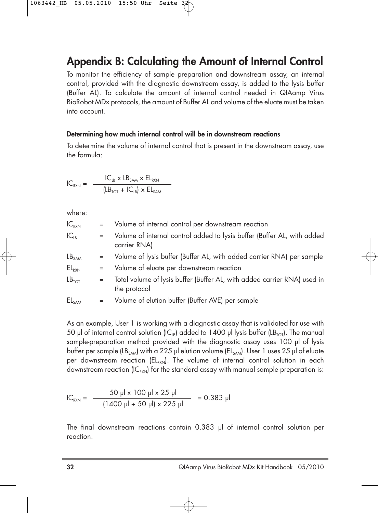## **Appendix B: Calculating the Amount of Internal Control**

To monitor the efficiency of sample preparation and downstream assay, an internal control, provided with the diagnostic downstream assay, is added to the lysis buffer (Buffer AL). To calculate the amount of internal control needed in QIAamp Virus BioRobot MDx protocols, the amount of Buffer AL and volume of the eluate must be taken into account.

#### **Determining how much internal control will be in downstream reactions**

To determine the volume of internal control that is present in the downstream assay, use the formula:

$$
IC_{RXN} = \frac{IC_{LB} \times LB_{SAM} \times EL_{RXN}}{(LB_{TOT} + IC_{LB}) \times EL_{SAM}}
$$

where:

| $IC_{RXN}$        | $=$ | Volume of internal control per downstream reaction                                       |
|-------------------|-----|------------------------------------------------------------------------------------------|
| $IC_{LB}$         | $=$ | Volume of internal control added to lysis buffer (Buffer AL, with added<br>carrier RNA)  |
| LB <sub>SAM</sub> | $=$ | Volume of lysis buffer (Buffer AL, with added carrier RNA) per sample                    |
| $EL_{RXN}$        | $=$ | Volume of eluate per downstream reaction                                                 |
| LB <sub>TOT</sub> | $=$ | Total volume of lysis buffer (Buffer AL, with added carrier RNA) used in<br>the protocol |
| EL <sub>SAM</sub> |     | Volume of elution buffer (Buffer AVE) per sample                                         |

As an example, User 1 is working with a diagnostic assay that is validated for use with 50 µl of internal control solution (IC<sub>IB</sub>) added to 1400 µl lysis buffer (LB<sub>TOT</sub>). The manual sample-preparation method provided with the diagnostic assay uses 100 µl of lysis buffer per sample (LB<sub>SAM</sub>) with a 225 µl elution volume (EL<sub>SAM</sub>). User 1 uses 25 µl of eluate per downstream reaction ( $EL_{\text{exyl}}$ ). The volume of internal control solution in each downstream reaction  $\left(C_{RXY}\right)$  for the standard assay with manual sample preparation is:

$$
IC_{RXN} = \frac{50 \text{ pl} \times 100 \text{ pl} \times 25 \text{ pl}}{(1400 \text{ pl} + 50 \text{ pl}) \times 225 \text{ pl}} = 0.383 \text{ pl}
$$

The final downstream reactions contain 0.383 µl of internal control solution per reaction.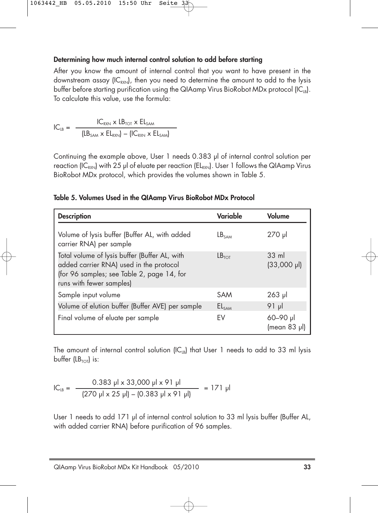### **Determining how much internal control solution to add before starting**

After you know the amount of internal control that you want to have present in the downstream assay  $\left(C_{RX}\right)$ , then you need to determine the amount to add to the lysis buffer before starting purification using the QIAamp Virus BioRobot MDx protocol  $\{IC_{1B}\}$ . To calculate this value, use the formula:

$$
IC_{LB} = \frac{IC_{RXN} \times LB_{TOT} \times El_{SAM}}{\left( LB_{SAM} \times El_{RXN} \right) - \left( IC_{RXN} \times El_{SAM} \right)}
$$

Continuing the example above, User 1 needs 0.383 µl of internal control solution per reaction (IC<sub>RXN</sub>) with 25 µl of eluate per reaction (EL<sub>RXN</sub>). User 1 follows the QIAamp Virus BioRobot MDx protocol, which provides the volumes shown in Table 5.

#### **Table 5. Volumes Used in the QIAamp Virus BioRobot MDx Protocol**

| <b>Description</b>                                                                                                                                                 | Variable          | Volume                                   |
|--------------------------------------------------------------------------------------------------------------------------------------------------------------------|-------------------|------------------------------------------|
| Volume of lysis buffer (Buffer AL, with added<br>carrier RNA) per sample                                                                                           | LB <sub>SAM</sub> | 270 µl                                   |
| Total volume of lysis buffer (Buffer AL, with<br>added carrier RNA) used in the protocol<br>(for 96 samples; see Table 2, page 14, for<br>runs with fewer samples) | LB <sub>TOT</sub> | $33 \text{ ml}$<br>$(33,000 \text{ pl})$ |
| Sample input volume                                                                                                                                                | <b>SAM</b>        | $263$ pl                                 |
| Volume of elution buffer (Buffer AVE) per sample                                                                                                                   | EL <sub>SAM</sub> | ارر 91                                   |
| Final volume of eluate per sample                                                                                                                                  | EV                | 60-90 µl<br>(mean 83 µl)                 |

The amount of internal control solution  $IC_{IB}$  that User 1 needs to add to 33 ml lysis buffer  $(LB_{TOT})$  is:

$$
IC_{LB} = \frac{0.383 \, \text{pl} \times 33,000 \, \text{pl} \times 91 \, \text{pl}}{(270 \, \text{pl} \times 25 \, \text{pl}) - (0.383 \, \text{pl} \times 91 \, \text{pl})} = 171 \, \text{pl}
$$

User 1 needs to add 171 µl of internal control solution to 33 ml lysis buffer (Buffer AL, with added carrier RNA) before purification of 96 samples.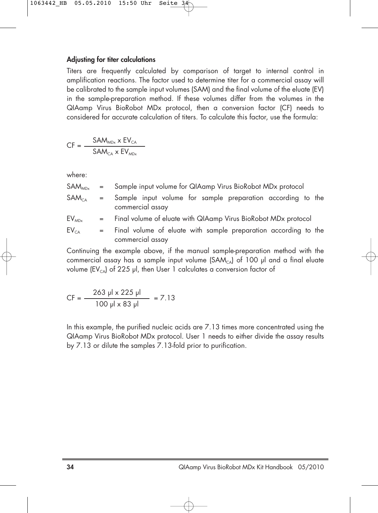#### **Adjusting for titer calculations**

Titers are frequently calculated by comparison of target to internal control in amplification reactions. The factor used to determine titer for a commercial assay will be calibrated to the sample input volumes (SAM) and the final volume of the eluate (EV) in the sample-preparation method. If these volumes differ from the volumes in the QIAamp Virus BioRobot MDx protocol, then a conversion factor (CF) needs to considered for accurate calculation of titers. To calculate this factor, use the formula:

 $CF = \frac{SAM_{MDx} \times EV_{CA}}{Q_{L1}}$  $\mathsf{SAM}_{\mathsf{CA}}$  x  $\mathsf{EV}_{\mathsf{MDx}}$ 

where:

| SAM <sub>MDx</sub> |  | Sample input volume for QIAamp Virus BioRobot MDx protocol |  |  |  |  |  |  |
|--------------------|--|------------------------------------------------------------|--|--|--|--|--|--|
|--------------------|--|------------------------------------------------------------|--|--|--|--|--|--|

- $SAM_{CA}$  = Sample input volume for sample preparation according to the commercial assay
- $EV_{MDx}$  = Final volume of eluate with QIAamp Virus BioRobot MDx protocol
- $EV_{CA}$  = Final volume of eluate with sample preparation according to the commercial assay

Continuing the example above, if the manual sample-preparation method with the commercial assay has a sample input volume  $(SAM<sub>ca</sub>)$  of 100 µl and a final eluate volume (EV<sub>CA</sub>) of 225 µl, then User 1 calculates a conversion factor of

$$
CF = \frac{263 \text{ pl} \times 225 \text{ pl}}{100 \text{ pl} \times 83 \text{ pl}} = 7.13
$$

In this example, the purified nucleic acids are  $7.13$  times more concentrated using the QIAamp Virus BioRobot MDx protocol. User 1 needs to either divide the assay results by 7.13 or dilute the samples 7.13-fold prior to purification.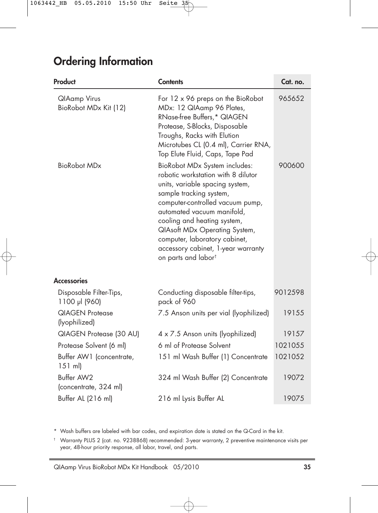## **Ordering Information**

| Product                                      | <b>Contents</b>                                                                                                                                                                                                                                                                                                                                                               | Cat. no. |
|----------------------------------------------|-------------------------------------------------------------------------------------------------------------------------------------------------------------------------------------------------------------------------------------------------------------------------------------------------------------------------------------------------------------------------------|----------|
| <b>QIAamp Virus</b><br>BioRobot MDx Kit (12) | For 12 x 96 preps on the BioRobot<br>MDx: 12 QIAamp 96 Plates,<br>RNase-free Buffers,* QIAGEN<br>Protease, S-Blocks, Disposable<br>Troughs, Racks with Elution<br>Microtubes CL (0.4 ml), Carrier RNA,<br>Top Elute Fluid, Caps, Tape Pad                                                                                                                                     | 965652   |
| BioRobot MDx                                 | BioRobot MDx System includes:<br>robotic workstation with 8 dilutor<br>units, variable spacing system,<br>sample tracking system,<br>computer-controlled vacuum pump,<br>automated vacuum manifold,<br>cooling and heating system,<br>QIAsoft MDx Operating System,<br>computer, laboratory cabinet,<br>accessory cabinet, 1-year warranty<br>on parts and labor <sup>t</sup> | 900600   |
| <b>Accessories</b>                           |                                                                                                                                                                                                                                                                                                                                                                               |          |
| Disposable Filter-Tips,<br>1100 µl (960)     | Conducting disposable filter-tips,<br>pack of 960                                                                                                                                                                                                                                                                                                                             | 9012598  |
| <b>QIAGEN Protegse</b><br>(lyophilized)      | 7.5 Anson units per vial (lyophilized)                                                                                                                                                                                                                                                                                                                                        | 19155    |
| QIAGEN Protease (30 AU)                      | 4 x 7.5 Anson units (lyophilized)                                                                                                                                                                                                                                                                                                                                             | 19157    |
| Protease Solvent (6 ml)                      | 6 ml of Protease Solvent                                                                                                                                                                                                                                                                                                                                                      | 1021055  |
| Buffer AW1 (concentrate,<br>$151$ ml)        | 151 ml Wash Buffer (1) Concentrate                                                                                                                                                                                                                                                                                                                                            | 1021052  |
| Buffer AW2<br>(concentrate, 324 ml)          | 324 ml Wash Buffer (2) Concentrate                                                                                                                                                                                                                                                                                                                                            | 19072    |
| Buffer AL (216 ml)                           | 216 ml Lysis Buffer AL                                                                                                                                                                                                                                                                                                                                                        | 19075    |

\* Wash buffers are labeled with bar codes, and expiration date is stated on the Q-Card in the kit.

† Warranty PLUS 2 (cat. no. 9238868) recommended: 3-year warranty, 2 preventive maintenance visits per year, 48-hour priority response, all labor, travel, and parts.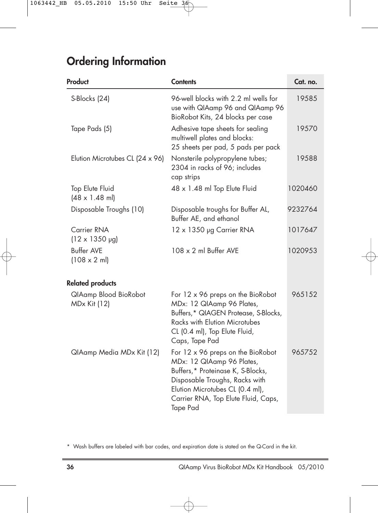## **Ordering Information**

| Product                                          | <b>Contents</b>                                                                                                                                                                                                             | Cat. no. |
|--------------------------------------------------|-----------------------------------------------------------------------------------------------------------------------------------------------------------------------------------------------------------------------------|----------|
| S-Blocks (24)                                    | 96-well blocks with 2.2 ml wells for<br>use with QIAamp 96 and QIAamp 96<br>BioRobot Kits, 24 blocks per case                                                                                                               | 19585    |
| Tape Pads (5)                                    | Adhesive tape sheets for sealing<br>multiwell plates and blocks:<br>25 sheets per pad, 5 pads per pack                                                                                                                      | 19570    |
| Elution Microtubes CL (24 x 96)                  | Nonsterile polypropylene tubes;<br>2304 in racks of 96; includes<br>cap strips                                                                                                                                              | 19588    |
| Top Elute Fluid<br>$(48 \times 1.48 \text{ ml})$ | 48 x 1.48 ml Top Elute Fluid                                                                                                                                                                                                | 1020460  |
| Disposable Troughs (10)                          | Disposable troughs for Buffer AL,<br>Buffer AE, and ethanol                                                                                                                                                                 | 9232764  |
| Carrier RNA<br>$(12 \times 1350 \text{ µg})$     | 12 x 1350 µg Carrier RNA                                                                                                                                                                                                    | 1017647  |
| <b>Buffer AVE</b><br>$(108 \times 2 \text{ ml})$ | $108 \times 2$ ml Buffer AVE                                                                                                                                                                                                | 1020953  |
| <b>Related products</b>                          |                                                                                                                                                                                                                             |          |
| QIAamp Blood BioRobot<br><b>MDx Kit (12)</b>     | For 12 x 96 preps on the BioRobot<br>MDx: 12 QIAamp 96 Plates,<br>Buffers,* QIAGEN Protease, S-Blocks,<br><b>Racks with Elution Microtubes</b><br>CL (0.4 ml), Top Elute Fluid,<br>Caps, Tape Pad                           | 965152   |
| QIAamp Media MDx Kit (12)                        | For 12 x 96 preps on the BioRobot<br>MDx: 12 QIAamp 96 Plates,<br>Buffers,* Proteinase K, S-Blocks,<br>Disposable Troughs, Racks with<br>Elution Microtubes CL (0.4 ml),<br>Carrier RNA, Top Elute Fluid, Caps,<br>Tape Pad | 965752   |

\* Wash buffers are labeled with bar codes, and expiration date is stated on the Q-Card in the kit.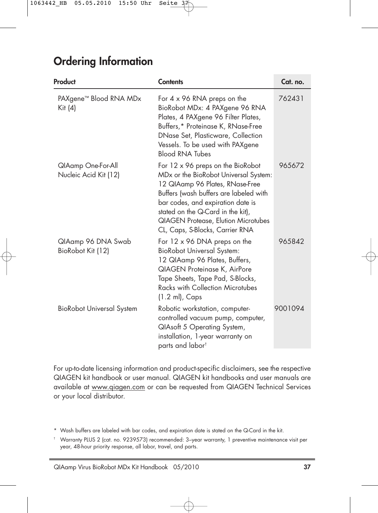## **Ordering Information**

| Product                                       | <b>Contents</b>                                                                                                                                                                                                                                                                                                    | Cat. no. |
|-----------------------------------------------|--------------------------------------------------------------------------------------------------------------------------------------------------------------------------------------------------------------------------------------------------------------------------------------------------------------------|----------|
| PAXgene <sup>™</sup> Blood RNA MDx<br>Kit (4) | For $4 \times 96$ RNA preps on the<br>BioRobot MDx: 4 PAXgene 96 RNA<br>Plates, 4 PAXgene 96 Filter Plates,<br>Buffers,* Proteinase K, RNase-Free<br>DNase Set, Plasticware, Collection<br>Vessels. To be used with PAXgene<br><b>Blood RNA Tubes</b>                                                              | 762431   |
| QIAamp One-For-All<br>Nucleic Acid Kit (12)   | For 12 x 96 preps on the BioRobot<br>MDx or the BioRobot Universal System:<br>12 QIAamp 96 Plates, RNase-Free<br>Buffers (wash buffers are labeled with<br>bar codes, and expiration date is<br>stated on the Q-Card in the kit),<br><b>QIAGEN Protease, Elution Microtubes</b><br>CL, Caps, S-Blocks, Carrier RNA | 965672   |
| QIAamp 96 DNA Swab<br>BioRobot Kit (12)       | For $12 \times 96$ DNA preps on the<br><b>BioRobot Universal System:</b><br>12 QIAamp 96 Plates, Buffers,<br><b>QIAGEN Proteinase K, AirPore</b><br>Tape Sheets, Tape Pad, S-Blocks,<br>Racks with Collection Microtubes<br>$(1.2 \text{ ml})$ , Caps                                                              | 965842   |
| <b>BioRobot Universal System</b>              | Robotic workstation, computer-<br>controlled vacuum pump, computer,<br><b>QIAsoft 5 Operating System,</b><br>installation, 1-year warranty on<br>parts and labor <sup>t</sup>                                                                                                                                      | 9001094  |

For up-to-date licensing information and product-specific disclaimers, see the respective QIAGEN kit handbook or user manual. QIAGEN kit handbooks and user manuals are available at www.qiagen.com or can be requested from QIAGEN Technical Services or your local distributor.

<sup>\*</sup> Wash buffers are labeled with bar codes, and expiration date is stated on the Q-Card in the kit.

<sup>†</sup> Warranty PLUS 2 (cat. no. 9239573) recommended: 3–year warranty, 1 preventive maintenance visit per year, 48-hour priority response, all labor, travel, and parts.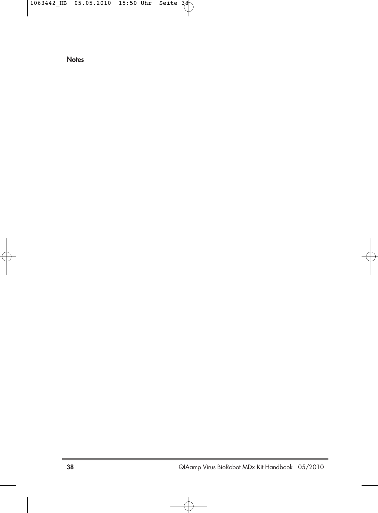**Notes**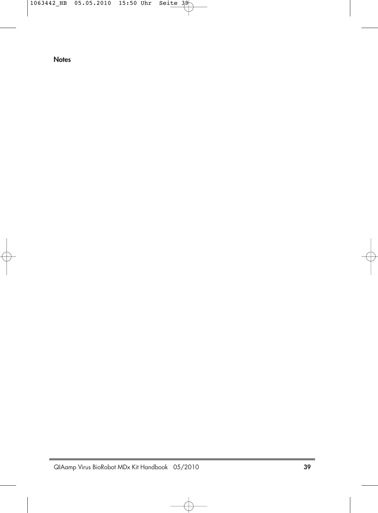**Notes**